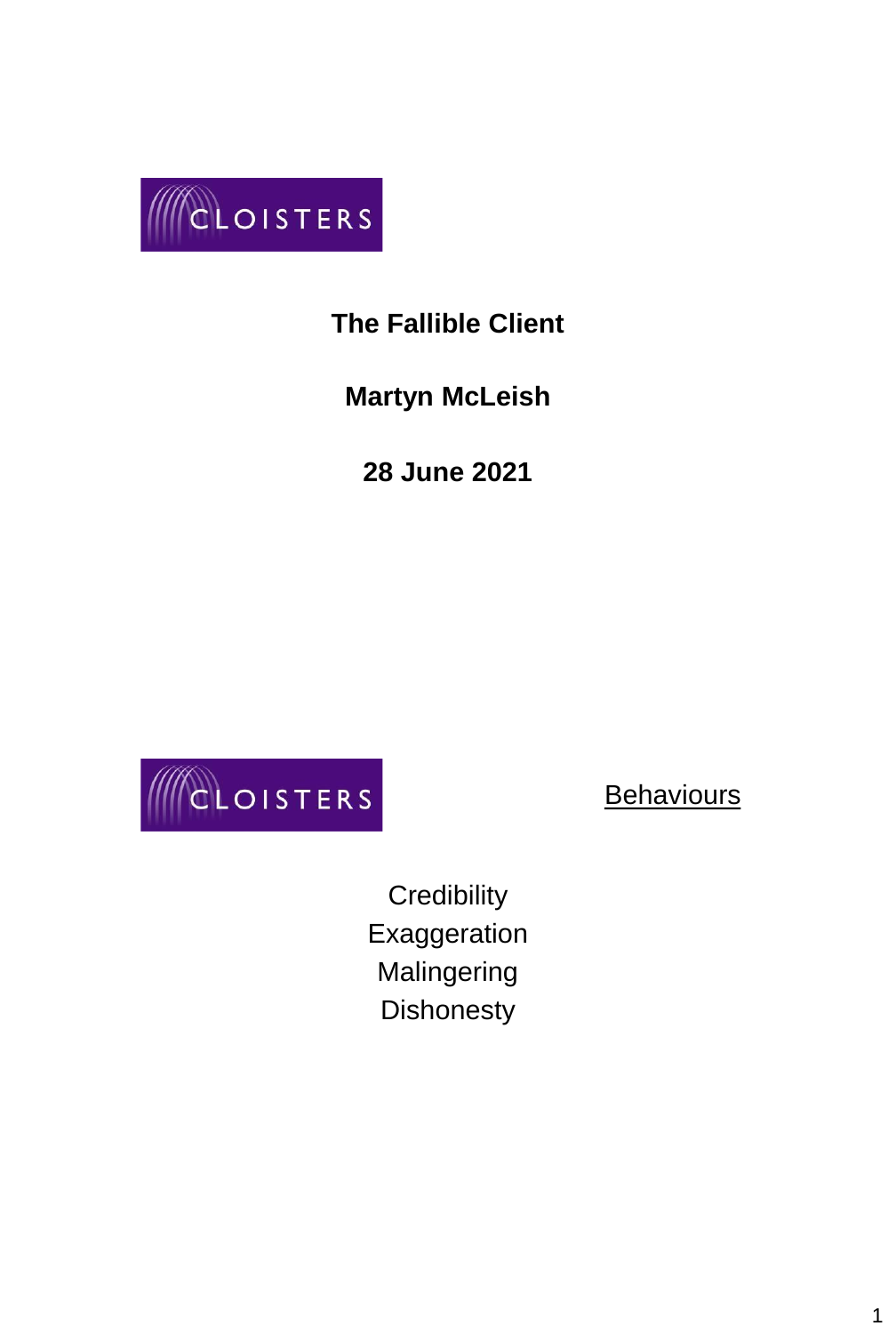

# **The Fallible Client**

**Martyn McLeish**

**28 June 2021**



**Behaviours** 

**Credibility** Exaggeration Malingering **Dishonesty**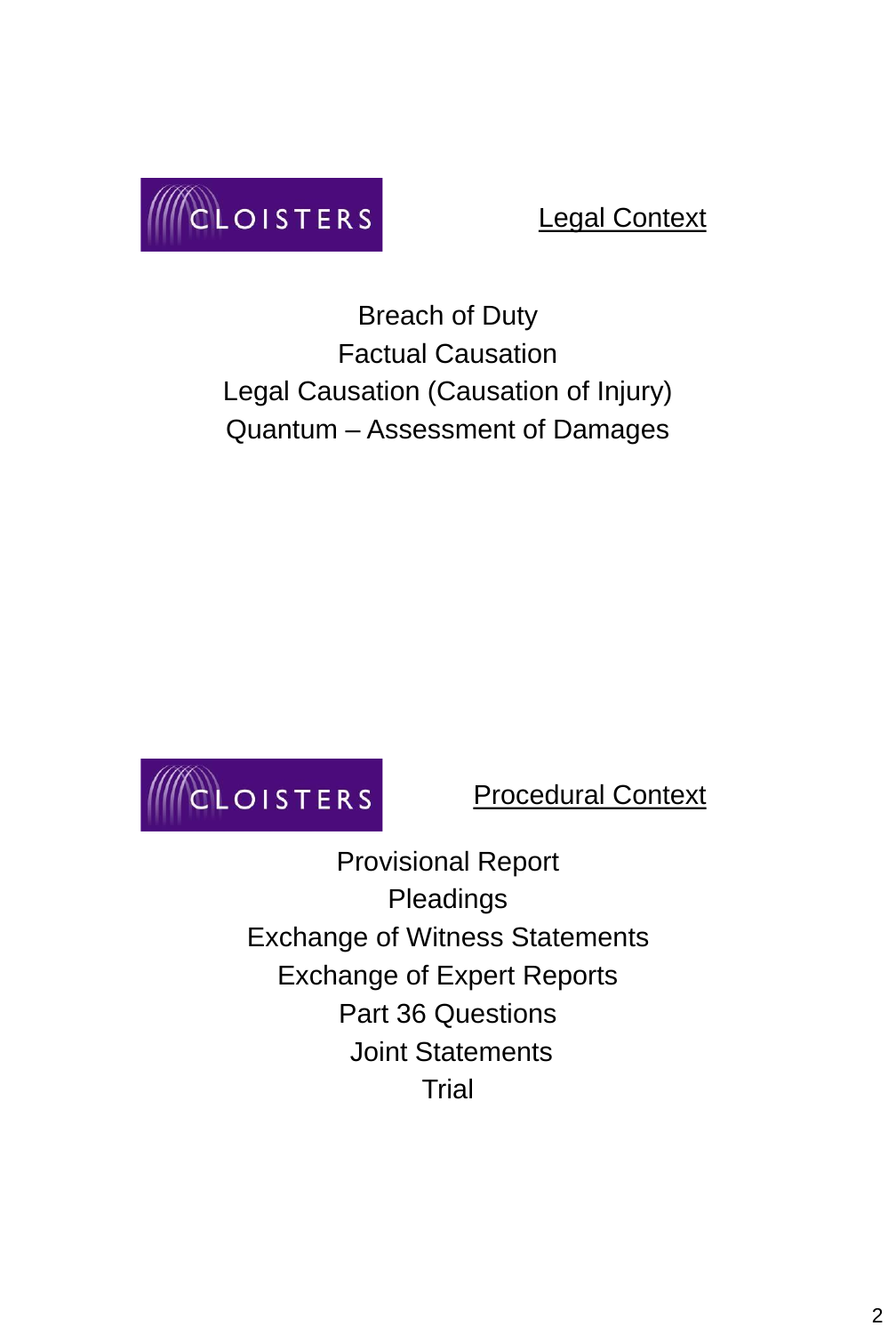

## Legal Context

Breach of Duty Factual Causation Legal Causation (Causation of Injury) Quantum – Assessment of Damages



Procedural Context

Provisional Report Pleadings Exchange of Witness Statements Exchange of Expert Reports Part 36 Questions Joint Statements **Trial**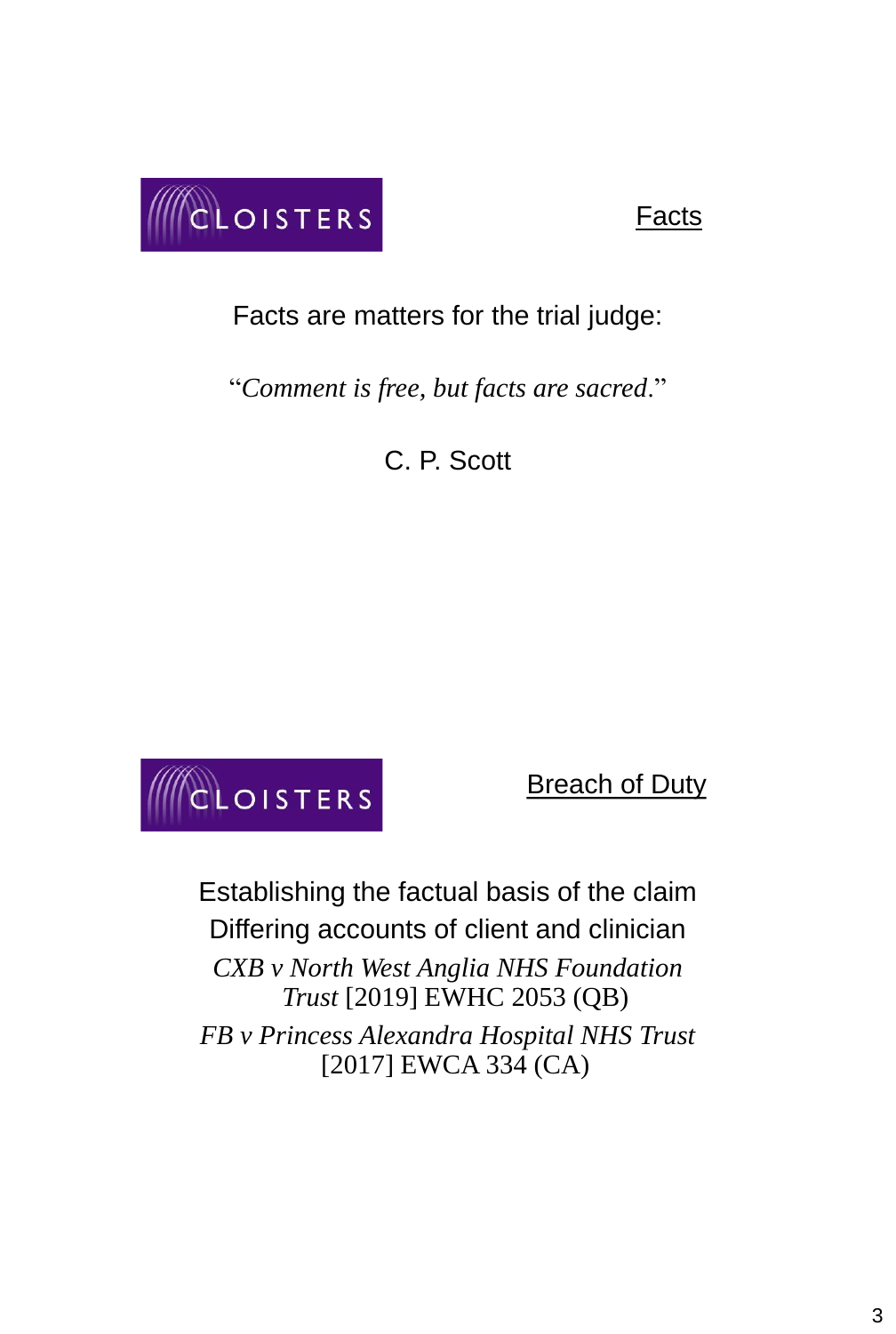

#### Facts

Facts are matters for the trial judge:

"*Comment is free, but facts are sacred*."

C. P. Scott



**Breach of Duty** 

Establishing the factual basis of the claim Differing accounts of client and clinician *CXB v North West Anglia NHS Foundation Trust* [2019] EWHC 2053 (QB) *FB v Princess Alexandra Hospital NHS Trust*  [2017] EWCA 334 (CA)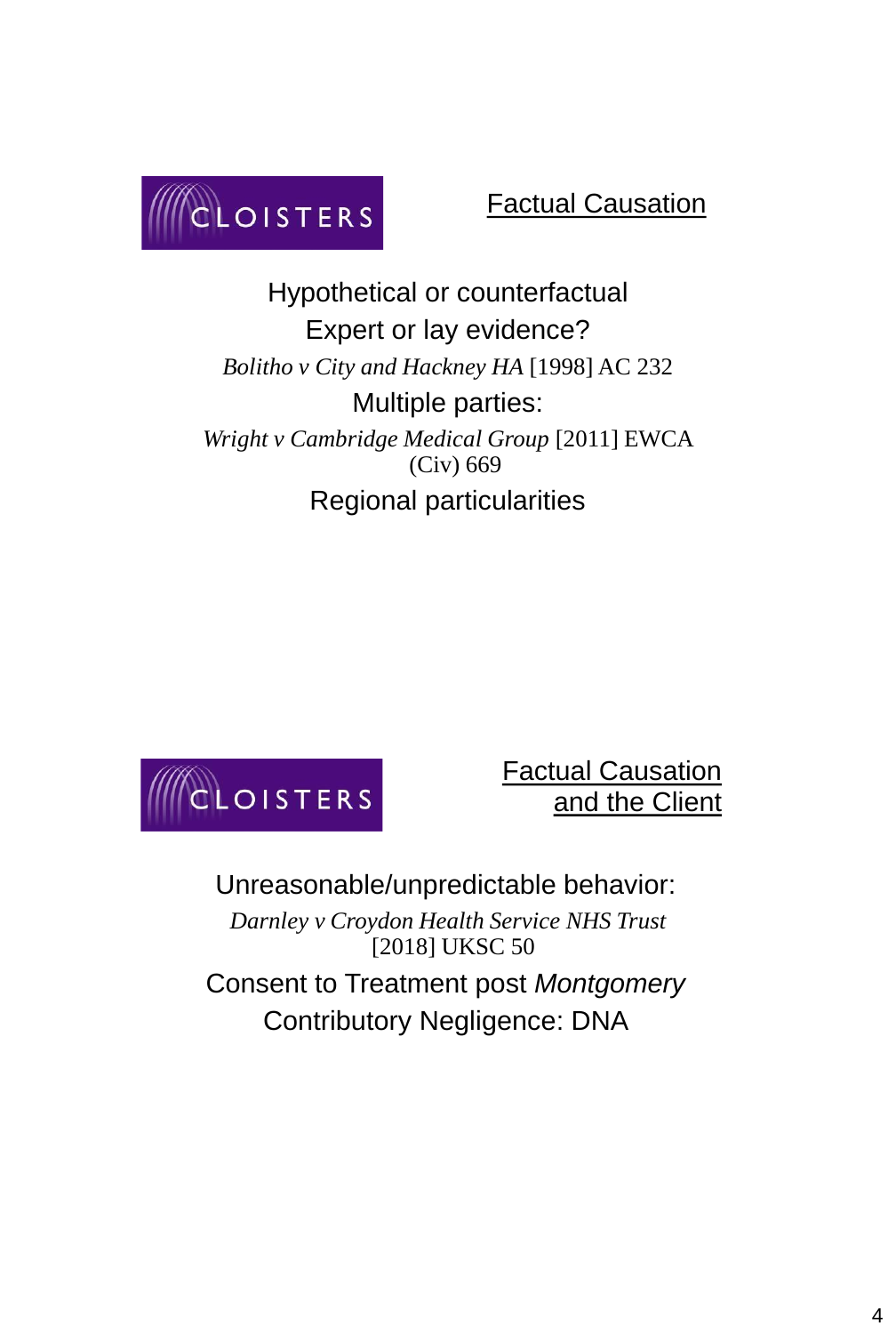

### Factual Causation

Hypothetical or counterfactual Expert or lay evidence? *Bolitho v City and Hackney HA* [1998] AC 232 Multiple parties: *Wright v Cambridge Medical Group* [2011] EWCA (Civ) 669 Regional particularities



Factual Causation and the Client

Unreasonable/unpredictable behavior: *Darnley v Croydon Health Service NHS Trust*  [2018] UKSC 50 Consent to Treatment post *Montgomery* Contributory Negligence: DNA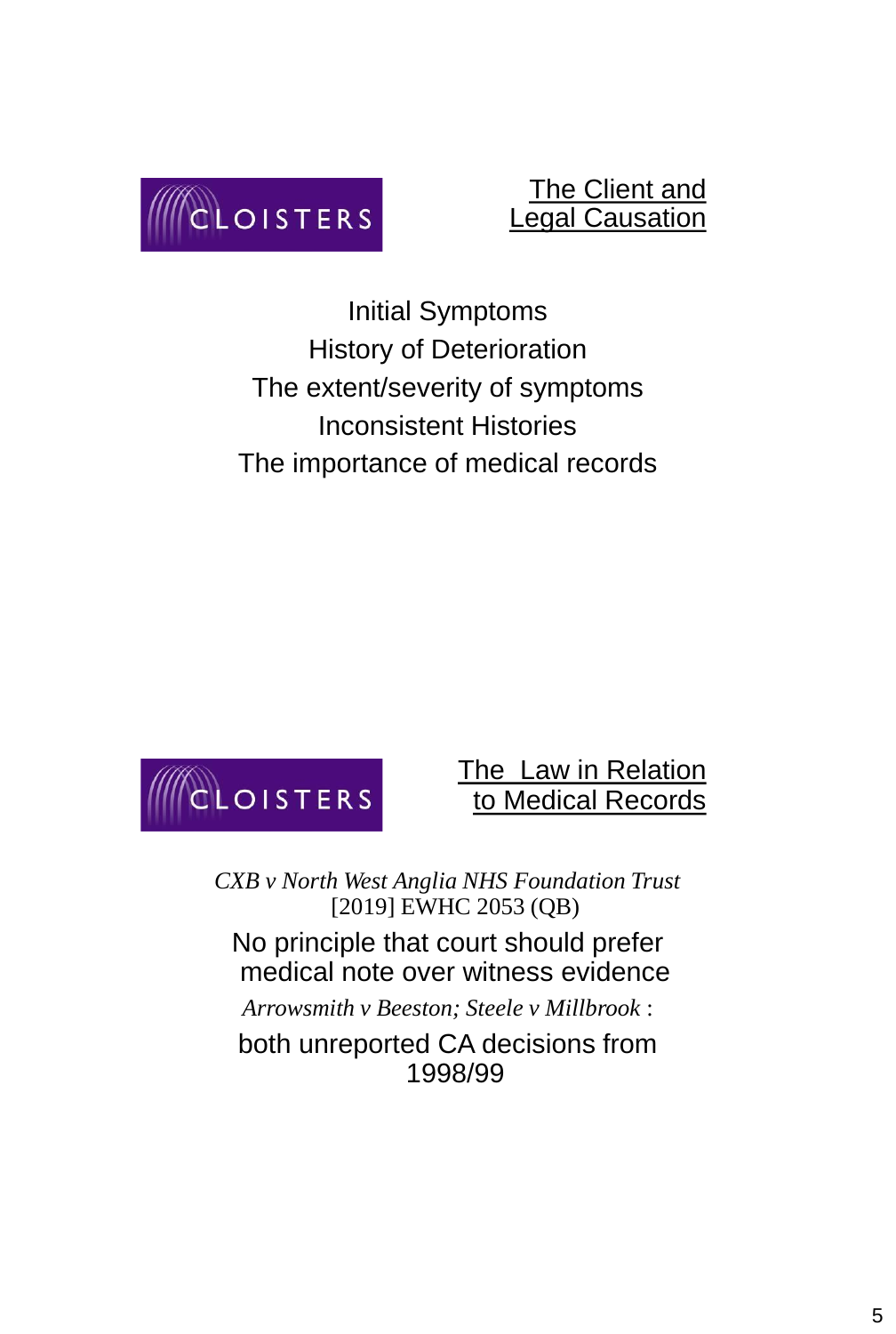

#### The Client and Legal Causation

Initial Symptoms History of Deterioration The extent/severity of symptoms Inconsistent Histories The importance of medical records



### The Law in Relation to Medical Records

*CXB v North West Anglia NHS Foundation Trust*  [2019] EWHC 2053 (QB)

No principle that court should prefer medical note over witness evidence

*Arrowsmith v Beeston; Steele v Millbrook* :

both unreported CA decisions from 1998/99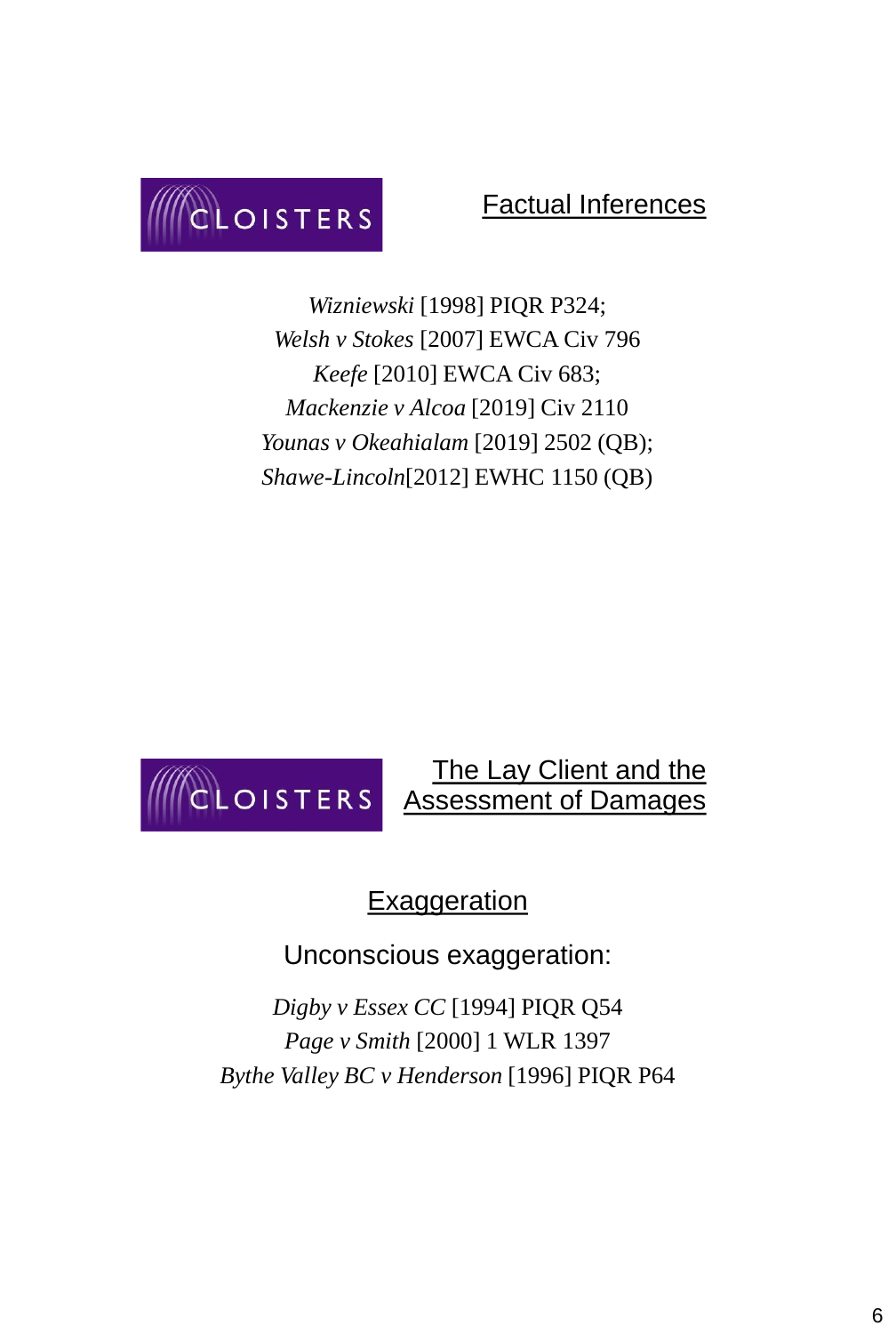

#### Factual Inferences

*Wizniewski* [1998] PIQR P324; *Welsh v Stokes* [2007] EWCA Civ 796 *Keefe* [2010] EWCA Civ 683; *Mackenzie v Alcoa* [2019] Civ 2110 *Younas v Okeahialam* [2019] 2502 (QB); *Shawe-Lincoln*[2012] EWHC 1150 (QB)



**Exaggeration** 

Unconscious exaggeration:

*Digby v Essex CC* [1994] PIQR Q54 *Page v Smith* [2000] 1 WLR 1397 *Bythe Valley BC v Henderson* [1996] PIQR P64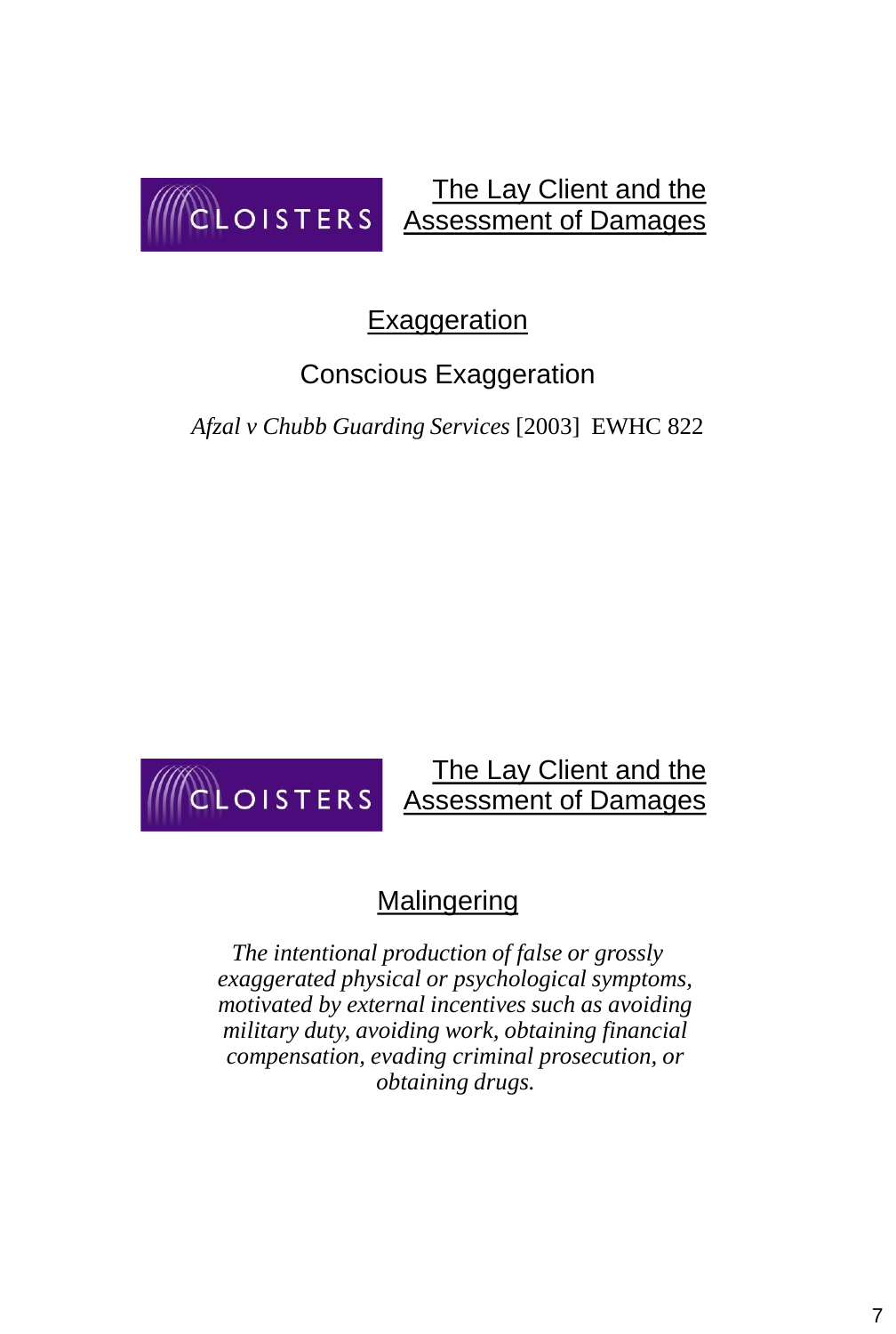

The Lay Client and the Assessment of Damages

## Exaggeration

# Conscious Exaggeration

*Afzal v Chubb Guarding Services* [2003] EWHC 822

#### The Lay Client and the CLOISTERS Assessment of Damages

# **Malingering**

*The intentional production of false or grossly exaggerated physical or psychological symptoms, motivated by external incentives such as avoiding military duty, avoiding work, obtaining financial compensation, evading criminal prosecution, or obtaining drugs.*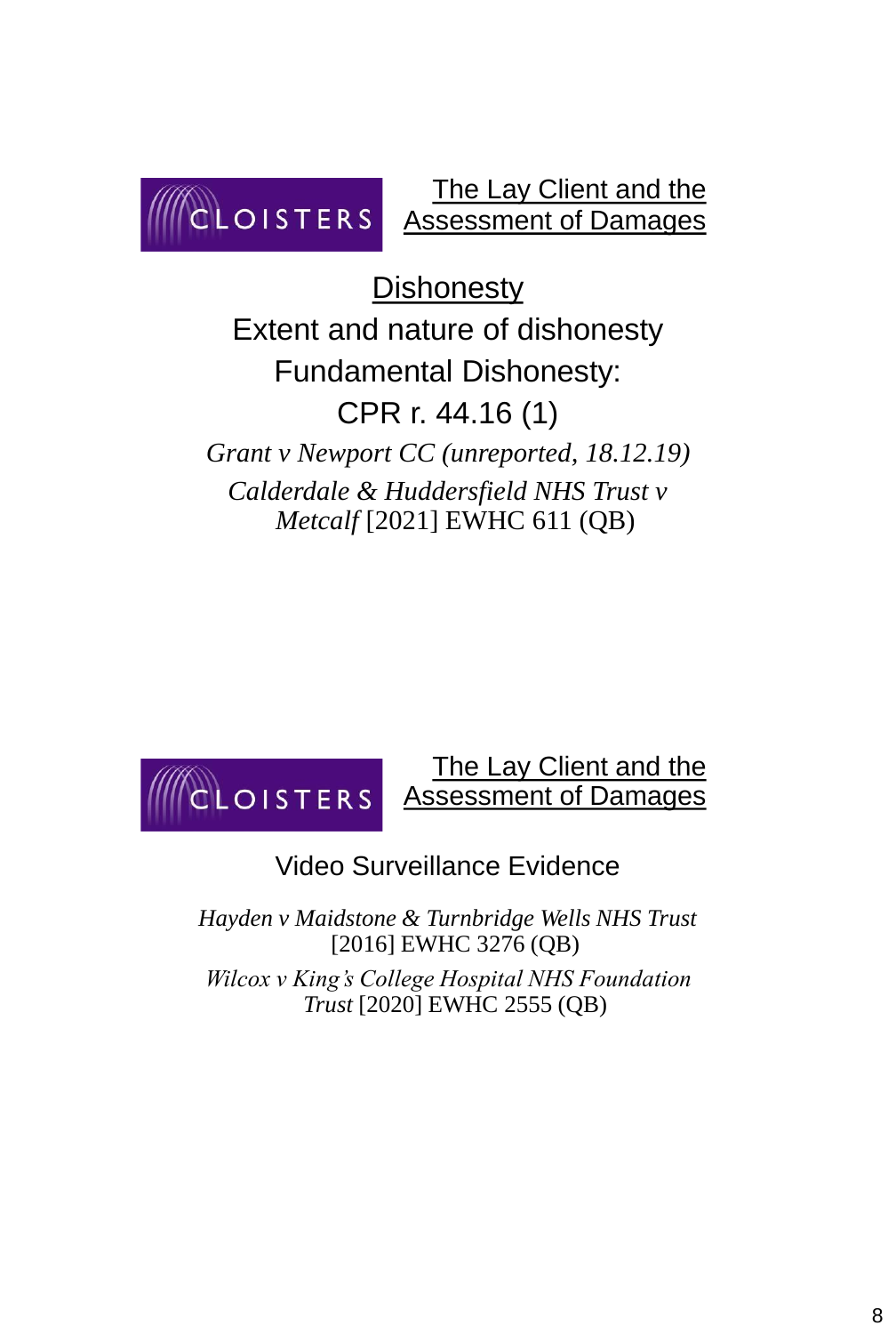

The Lay Client and the Assessment of Damages

**Dishonesty** 

Extent and nature of dishonesty Fundamental Dishonesty: CPR r. 44.16 (1) *Grant v Newport CC (unreported, 18.12.19) Calderdale & Huddersfield NHS Trust v Metcalf* [2021] EWHC 611 (QB)



## Video Surveillance Evidence

*Hayden v Maidstone & Turnbridge Wells NHS Trust*  [2016] EWHC 3276 (QB) *Wilcox v King's College Hospital NHS Foundation Trust* [2020] EWHC 2555 (QB)